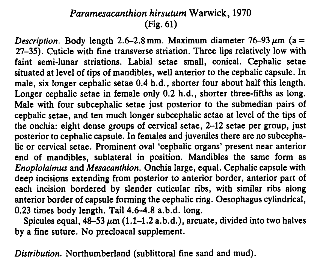## Paramesacanthion hirsutum Warwick, 1970 (Fig. 61)

Description. Body length 2.6-2.8 mm. Maximum diameter 76-93  $\mu$ m (a = 27-35). Cuticle with fine transverse striation. Three lips relatively low with faint semi-lunar striations. Labial setae small, conical. Cephalic setae situated at level of tips of mandibles, well anterior to the cephalic capsule. In male, six longer cephalic setae 0.4 h.d., shorter four about half this length. Longer cephalic setae in female only 0.2 h.d., shorter three-fifths as long. Male with four subcephalic setae just posterior to the submedian pairs of cephalic setae, and ten much longer subcephalic setae at level of the tips of the onchia: eight dense groups of cervical setae, 2-12 setae per group, just posterior to cephalic capsule. In females and juveniles there are no subcephalic or cervical setae. Prominent oval 'cephalic organs' present near anterior end of mandibles, sublateral in position. Mandibles the same form as Enoplolaimus and Mesacanthion. Onchia large, equal. Cephalic capsule with deep incisions extending from posterior to anterior border, anterior part of each incision bordered by slender cuticular ribs, with similar ribs along anterior border of capsule forming the cephalic ring. Oesophagus cylindrical, 0.23 times body length. Tail 4.6-4.8 a.b.d. long.

Spicules equal,  $48-53 \mu m (1.1-1.2 a.b.d.)$ , arcuate, divided into two halves by a fine suture. No precloacal supplement.

Distribution. Northumberland (sublittoral fine sand and mud).